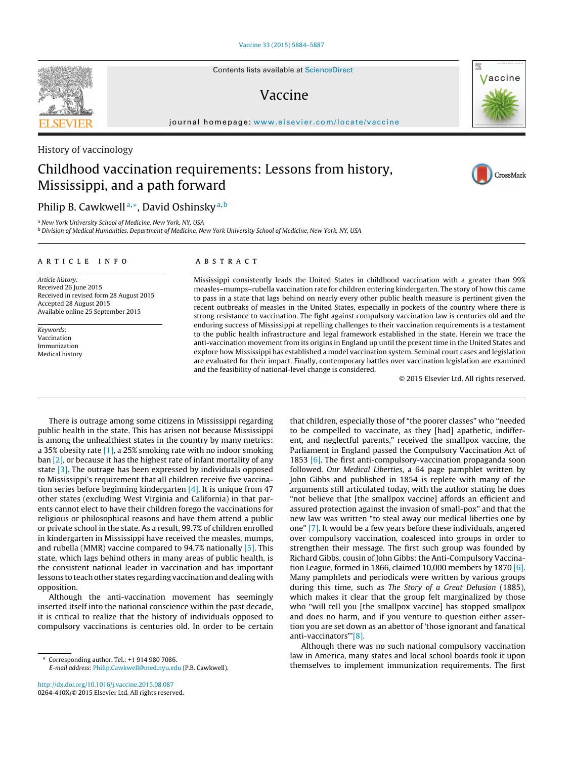Contents lists available at [ScienceDirect](http://www.sciencedirect.com/science/journal/0264410X)

# Vaccine

iournal homepage: [www.elsevier.com/locate/vaccine](http://www.elsevier.com/locate/vaccine)

## History of vaccinology

# Childhood vaccination requirements: Lessons from history, Mississippi, and a path forward

## Philip B. Cawkwell<sup>a,\*</sup>, David Oshinsky<sup>a,b</sup>

<sup>a</sup> New York University School of Medicine, New York, NY, USA

<sup>b</sup> Division of Medical Humanities, Department of Medicine, New York University School of Medicine, New York, NY, USA

## a r t i c l e i n f o

Article history: Received 26 June 2015 Received in revised form 28 August 2015 Accepted 28 August 2015 Available online 25 September 2015

Keywords: Vaccination Immunization Medical history

### A B S T R A C T

Mississippi consistently leads the United States in childhood vaccination with a greater than 99% measles–mumps–rubella vaccination rate for children entering kindergarten. The story of how this came to pass in a state that lags behind on nearly every other public health measure is pertinent given the recent outbreaks of measles in the United States, especially in pockets of the country where there is strong resistance to vaccination. The fight against compulsory vaccination law is centuries old and the enduring success of Mississippi at repelling challenges to their vaccination requirements is a testament to the public health infrastructure and legal framework established in the state. Herein we trace the anti-vaccination movement from its origins in England up until the present time in the United States and explore how Mississippi has established a model vaccination system. Seminal court cases and legislation are evaluated for their impact. Finally, contemporary battles over vaccination legislation are examined and the feasibility of national-level change is considered.

© 2015 Elsevier Ltd. All rights reserved.

There is outrage among some citizens in Mississippi regarding public health in the state. This has arisen not because Mississippi is among the unhealthiest states in the country by many metrics: a 35% obesity rate [\[1\],](#page-3-0) a 25% smoking rate with no indoor smoking ban [\[2\],](#page-3-0) or because it has the highest rate of infant mortality of any state [\[3\].](#page-3-0) The outrage has been expressed by individuals opposed to Mississippi's requirement that all children receive five vaccination series before beginning kindergarten [\[4\].](#page-3-0) It is unique from 47 other states (excluding West Virginia and California) in that parents cannot elect to have their children forego the vaccinations for religious or philosophical reasons and have them attend a public or private school in the state. As a result, 99.7% of children enrolled in kindergarten in Mississippi have received the measles, mumps, and rubella (MMR) vaccine compared to 94.7% nationally [\[5\].](#page-3-0) This state, which lags behind others in many areas of public health, is the consistent national leader in vaccination and has important lessons to teach other states regarding vaccination and dealing with opposition.

Although the anti-vaccination movement has seemingly inserted itself into the national conscience within the past decade, it is critical to realize that the history of individuals opposed to compulsory vaccinations is centuries old. In order to be certain

∗ Corresponding author. Tel.: +1 914 980 7086. E-mail address: [Philip.Cawkwell@med.nyu.edu](mailto:Philip.Cawkwell@med.nyu.edu) (P.B. Cawkwell).

[http://dx.doi.org/10.1016/j.vaccine.2015.08.087](dx.doi.org/10.1016/j.vaccine.2015.08.087) 0264-410X/© 2015 Elsevier Ltd. All rights reserved.

that children, especially those of "the poorer classes" who "needed to be compelled to vaccinate, as they [had] apathetic, indifferent, and neglectful parents," received the smallpox vaccine, the Parliament in England passed the Compulsory Vaccination Act of 1853 [\[6\].](#page-3-0) The first anti-compulsory-vaccination propaganda soon followed. Our Medical Liberties, a 64 page pamphlet written by John Gibbs and published in 1854 is replete with many of the arguments still articulated today, with the author stating he does "not believe that [the smallpox vaccine] affords an efficient and assured protection against the invasion of small-pox" and that the new law was written "to steal away our medical liberties one by one" [\[7\].](#page-3-0) It would be a few years before these individuals, angered over compulsory vaccination, coalesced into groups in order to strengthen their message. The first such group was founded by Richard Gibbs, cousin of John Gibbs: the Anti-Compulsory Vaccination League, formed in 1866, claimed 10,000 members by 1870 [\[6\].](#page-3-0) Many pamphlets and periodicals were written by various groups during this time, such as The Story of a Great Delusion (1885), which makes it clear that the group felt marginalized by those who "will tell you [the smallpox vaccine] has stopped smallpox and does no harm, and if you venture to question either assertion you are set down as an abettor of 'those ignorant and fanatical anti-vaccinators"'[\[8\].](#page-3-0)

Although there was no such national compulsory vaccination law in America, many states and local school boards took it upon themselves to implement immunization requirements. The first





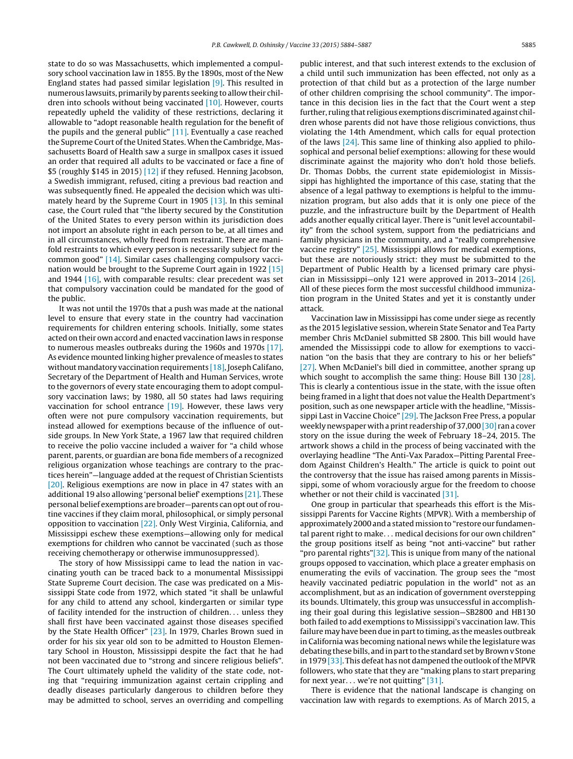state to do so was Massachusetts, which implemented a compulsory school vaccination law in 1855. By the 1890s, most of the New England states had passed similar legislation [\[9\].](#page-3-0) This resulted in numerous lawsuits, primarily by parents seeking to allow their children into schools without being vaccinated [\[10\].](#page-3-0) However, courts repeatedly upheld the validity of these restrictions, declaring it allowable to "adopt reasonable health regulation for the benefit of the pupils and the general public" [\[11\].](#page-3-0) Eventually a case reached the Supreme Court of the United States. When the Cambridge, Massachusetts Board of Health saw a surge in smallpox cases it issued an order that required all adults to be vaccinated or face a fine of \$5 (roughly \$145 in 2015) [\[12\]](#page-3-0) if they refused. Henning Jacobson, a Swedish immigrant, refused, citing a previous bad reaction and was subsequently fined. He appealed the decision which was ultimately heard by the Supreme Court in 1905 [\[13\].](#page-3-0) In this seminal case, the Court ruled that "the liberty secured by the Constitution of the United States to every person within its jurisdiction does not import an absolute right in each person to be, at all times and in all circumstances, wholly freed from restraint. There are manifold restraints to which every person is necessarily subject for the common good" [\[14\].](#page-3-0) Similar cases challenging compulsory vaccination would be brought to the Supreme Court again in 1922 [\[15\]](#page-3-0) and 1944  $[16]$ , with comparable results: clear precedent was set that compulsory vaccination could be mandated for the good of the public.

It was not until the 1970s that a push was made at the national level to ensure that every state in the country had vaccination requirements for children entering schools. Initially, some states acted on their own accord and enacted vaccination laws in response to numerous measles outbreaks during the 1960s and 1970s [\[17\].](#page-3-0) As evidence mounted linking higher prevalence of measles to states without mandatory vaccination requirements [\[18\],](#page-3-0) Joseph Califano, Secretary of the Department of Health and Human Services, wrote to the governors of every state encouraging them to adopt compulsory vaccination laws; by 1980, all 50 states had laws requiring vaccination for school entrance [\[19\].](#page-3-0) However, these laws very often were not pure compulsory vaccination requirements, but instead allowed for exemptions because of the influence of outside groups. In New York State, a 1967 law that required children to receive the polio vaccine included a waiver for "a child whose parent, parents, or guardian are bona fide members of a recognized religious organization whose teachings are contrary to the practices herein"—language added at the request of Christian Scientists [\[20\].](#page-3-0) Religious exemptions are now in place in 47 states with an additional 19 also allowing 'personal belief' exemptions [\[21\].](#page-3-0) These personal belief exemptions are broader—parents can opt out of routine vaccines if they claim moral, philosophical, or simply personal opposition to vaccination [\[22\].](#page-3-0) Only West Virginia, California, and Mississippi eschew these exemptions—allowing only for medical exemptions for children who cannot be vaccinated (such as those receiving chemotherapy or otherwise immunosuppressed).

The story of how Mississippi came to lead the nation in vaccinating youth can be traced back to a monumental Mississippi State Supreme Court decision. The case was predicated on a Mississippi State code from 1972, which stated "it shall be unlawful for any child to attend any school, kindergarten or similar type of facility intended for the instruction of children. . . unless they shall first have been vaccinated against those diseases specified by the State Health Officer" [\[23\].](#page-3-0) In 1979, Charles Brown sued in order for his six year old son to be admitted to Houston Elementary School in Houston, Mississippi despite the fact that he had not been vaccinated due to "strong and sincere religious beliefs". The Court ultimately upheld the validity of the state code, noting that "requiring immunization against certain crippling and deadly diseases particularly dangerous to children before they may be admitted to school, serves an overriding and compelling public interest, and that such interest extends to the exclusion of a child until such immunization has been effected, not only as a protection of that child but as a protection of the large number of other children comprising the school community". The importance in this decision lies in the fact that the Court went a step further, ruling that religious exemptions discriminated against children whose parents did not have those religious convictions, thus violating the 14th Amendment, which calls for equal protection of the laws [\[24\].](#page-3-0) This same line of thinking also applied to philosophical and personal belief exemptions: allowing for these would discriminate against the majority who don't hold those beliefs. Dr. Thomas Dobbs, the current state epidemiologist in Mississippi has highlighted the importance of this case, stating that the absence of a legal pathway to exemptions is helpful to the immunization program, but also adds that it is only one piece of the puzzle, and the infrastructure built by the Department of Health adds another equally critical layer. There is "unit level accountability" from the school system, support from the pediatricians and family physicians in the community, and a "really comprehensive vaccine registry" [\[25\].](#page-3-0) Mississippi allows for medical exemptions, but these are notoriously strict: they must be submitted to the Department of Public Health by a licensed primary care physician in Mississippi—only 121 were approved in 2013–2014 [\[26\].](#page-3-0) All of these pieces form the most successful childhood immunization program in the United States and yet it is constantly under attack.

Vaccination law in Mississippi has come under siege as recently as the 2015 legislative session, wherein State Senator and Tea Party member Chris McDaniel submitted SB 2800. This bill would have amended the Mississippi code to allow for exemptions to vaccination "on the basis that they are contrary to his or her beliefs" [\[27\].](#page-3-0) When McDaniel's bill died in committee, another sprang up which sought to accomplish the same thing: House Bill 130 [\[28\].](#page-3-0) This is clearly a contentious issue in the state, with the issue often being framed in a light that does not value the Health Department's position, such as one newspaper article with the headline, "Missis-sippi Last in Vaccine Choice" [\[29\].](#page-3-0) The Jackson Free Press, a popular weekly newspaper with a print readership of 37,000  $[30]$  ran a cover story on the issue during the week of February 18–24, 2015. The artwork shows a child in the process of being vaccinated with the overlaying headline "The Anti-Vax Paradox—Pitting Parental Freedom Against Children's Health." The article is quick to point out the controversy that the issue has raised among parents in Mississippi, some of whom voraciously argue for the freedom to choose whether or not their child is vaccinated [\[31\].](#page-3-0)

One group in particular that spearheads this effort is the Mississippi Parents for Vaccine Rights (MPVR). With a membership of approximately 2000 and a stated mission to "restore our fundamental parent right to make. . . medical decisions for our own children" the group positions itself as being "not anti-vaccine" but rather "pro parental rights["\[32\].](#page-3-0) This is unique from many of the national groups opposed to vaccination, which place a greater emphasis on enumerating the evils of vaccination. The group sees the "most heavily vaccinated pediatric population in the world" not as an accomplishment, but as an indication of government overstepping its bounds. Ultimately, this group was unsuccessful in accomplishing their goal during this legislative session—SB2800 and HB130 both failed to add exemptions to Mississippi's vaccination law. This failure may have been due in part to timing, as the measles outbreak in California was becoming national news while the legislature was debating these bills, and in part to the standard set by Brown v Stone in 1979 [\[33\].](#page-3-0) This defeat has not dampened the outlook of the MPVR followers, who state that they are "making plans to start preparing for next year... we're not quitting"  $[31]$ .

There is evidence that the national landscape is changing on vaccination law with regards to exemptions. As of March 2015, a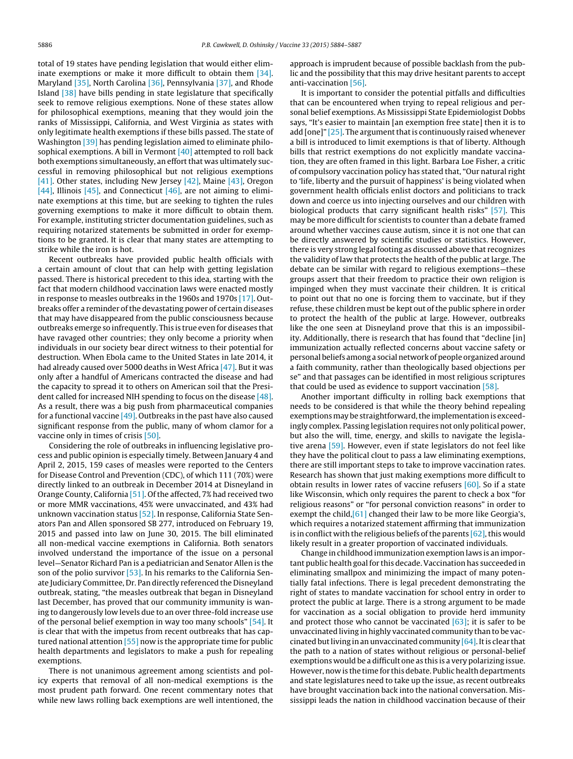total of 19 states have pending legislation that would either eliminate exemptions or make it more difficult to obtain them [\[34\].](#page-3-0) Maryland [\[35\],](#page-3-0) North Carolina [\[36\],](#page-3-0) Pennsylvania [\[37\],](#page-3-0) and Rhode Island [\[38\]](#page-3-0) have bills pending in state legislature that specifically seek to remove religious exemptions. None of these states allow for philosophical exemptions, meaning that they would join the ranks of Mississippi, California, and West Virginia as states with only legitimate health exemptions if these bills passed. The state of Washington [\[39\]](#page-3-0) has pending legislation aimed to eliminate philosophical exemptions. A bill in Vermont [\[40\]](#page-3-0) attempted to roll back both exemptions simultaneously, an effort that was ultimately successful in removing philosophical but not religious exemptions [\[41\].](#page-3-0) Other states, including New Jersey [\[42\],](#page-3-0) Maine [\[43\],](#page-3-0) Oregon [\[44\],](#page-3-0) Illinois [\[45\],](#page-3-0) and Connecticut  $[46]$ , are not aiming to eliminate exemptions at this time, but are seeking to tighten the rules governing exemptions to make it more difficult to obtain them. For example, instituting stricter documentation guidelines, such as requiring notarized statements be submitted in order for exemptions to be granted. It is clear that many states are attempting to strike while the iron is hot.

Recent outbreaks have provided public health officials with a certain amount of clout that can help with getting legislation passed. There is historical precedent to this idea, starting with the fact that modern childhood vaccination laws were enacted mostly in response to measles outbreaks in the 1960s and 1970s [\[17\].](#page-3-0) Outbreaks offer a reminder of the devastating power of certain diseases that may have disappeared from the public consciousness because outbreaks emerge so infrequently. This is true even for diseases that have ravaged other countries; they only become a priority when individuals in our society bear direct witness to their potential for destruction. When Ebola came to the United States in late 2014, it had already caused over 5000 deaths in West Africa [\[47\].](#page-3-0) But it was only after a handful of Americans contracted the disease and had the capacity to spread it to others on American soil that the President called for increased NIH spending to focus on the disease [\[48\].](#page-3-0) As a result, there was a big push from pharmaceutical companies for a functional vaccine  $[49]$ . Outbreaks in the past have also caused significant response from the public, many of whom clamor for a vaccine only in times of crisis [\[50\].](#page-3-0)

Considering the role of outbreaks in influencing legislative process and public opinion is especially timely. Between January 4 and April 2, 2015, 159 cases of measles were reported to the Centers for Disease Control and Prevention (CDC), of which 111 (70%) were directly linked to an outbreak in December 2014 at Disneyland in Orange County, California [\[51\].](#page-3-0) Of the affected, 7% had received two or more MMR vaccinations, 45% were unvaccinated, and 43% had unknown vaccination status [\[52\].](#page-3-0) In response, California State Senators Pan and Allen sponsored SB 277, introduced on February 19, 2015 and passed into law on June 30, 2015. The bill eliminated all non-medical vaccine exemptions in California. Both senators involved understand the importance of the issue on a personal level—Senator Richard Pan is a pediatrician and Senator Allen is the son of the polio survivor [\[53\].](#page-3-0) In his remarks to the California Senate Judiciary Committee, Dr. Pan directly referenced the Disneyland outbreak, stating, "the measles outbreak that began in Disneyland last December, has proved that our community immunity is waning to dangerously low levels due to an over three-fold increase use of the personal belief exemption in way too many schools" [\[54\].](#page-3-0) It is clear that with the impetus from recent outbreaks that has captured national attention [\[55\]](#page-3-0) now is the appropriate time for public health departments and legislators to make a push for repealing exemptions.

There is not unanimous agreement among scientists and policy experts that removal of all non-medical exemptions is the most prudent path forward. One recent commentary notes that while new laws rolling back exemptions are well intentioned, the approach is imprudent because of possible backlash from the public and the possibility that this may drive hesitant parents to accept anti-vaccination [\[56\].](#page-3-0)

It is important to consider the potential pitfalls and difficulties that can be encountered when trying to repeal religious and personal belief exemptions. As Mississippi State Epidemiologist Dobbs says, "It's easier to maintain [an exemption free state] then it is to add  $[one]$ "  $[25]$ . The argument that is continuously raised whenever a bill is introduced to limit exemptions is that of liberty. Although bills that restrict exemptions do not explicitly mandate vaccination, they are often framed in this light. Barbara Loe Fisher, a critic of compulsory vaccination policy has stated that, "Our natural right to 'life, liberty and the pursuit of happiness' is being violated when government health officials enlist doctors and politicians to track down and coerce us into injecting ourselves and our children with biological products that carry significant health risks" [\[57\].](#page-3-0) This may be more difficult for scientists to counter than a debate framed around whether vaccines cause autism, since it is not one that can be directly answered by scientific studies or statistics. However, there is very strong legal footing as discussed above that recognizes the validity of law that protects the health of the public at large. The debate can be similar with regard to religious exemptions—these groups assert that their freedom to practice their own religion is impinged when they must vaccinate their children. It is critical to point out that no one is forcing them to vaccinate, but if they refuse, these children must be kept out of the public sphere in order to protect the health of the public at large. However, outbreaks like the one seen at Disneyland prove that this is an impossibility. Additionally, there is research that has found that "decline [in] immunization actually reflected concerns about vaccine safety or personal beliefs among a social network of people organized around a faith community, rather than theologically based objections per se" and that passages can be identified in most religious scriptures that could be used as evidence to support vaccination [\[58\].](#page-3-0)

Another important difficulty in rolling back exemptions that needs to be considered is that while the theory behind repealing exemptions may be straightforward, the implementation is exceedingly complex. Passing legislation requires not only political power, but also the will, time, energy, and skills to navigate the legislative arena [\[59\].](#page-3-0) However, even if state legislators do not feel like they have the political clout to pass a law eliminating exemptions, there are still important steps to take to improve vaccination rates. Research has shown that just making exemptions more difficult to obtain results in lower rates of vaccine refusers  $[60]$ . So if a state like Wisconsin, which only requires the parent to check a box "for religious reasons" or "for personal conviction reasons" in order to exempt the child, [\[61\]](#page-3-0) changed their law to be more like Georgia's, which requires a notarized statement affirming that immunization is in conflict with the religious beliefs of the parents  $[62]$ , this would likely result in a greater proportion of vaccinated individuals.

Change in childhood immunization exemption laws is an important public health goal for this decade. Vaccination has succeeded in eliminating smallpox and minimizing the impact of many potentially fatal infections. There is legal precedent demonstrating the right of states to mandate vaccination for school entry in order to protect the public at large. There is a strong argument to be made for vaccination as a social obligation to provide herd immunity and protect those who cannot be vaccinated  $[63]$ ; it is safer to be unvaccinated living in highly vaccinated community than to be vaccinated but living in an unvaccinated community  $[64]$ . It is clear that the path to a nation of states without religious or personal-belief exemptions would be a difficult one as this is a very polarizing issue. However, now is the time for this debate. Public health departments and state legislatures need to take up the issue, as recent outbreaks have brought vaccination back into the national conversation. Mississippi leads the nation in childhood vaccination because of their